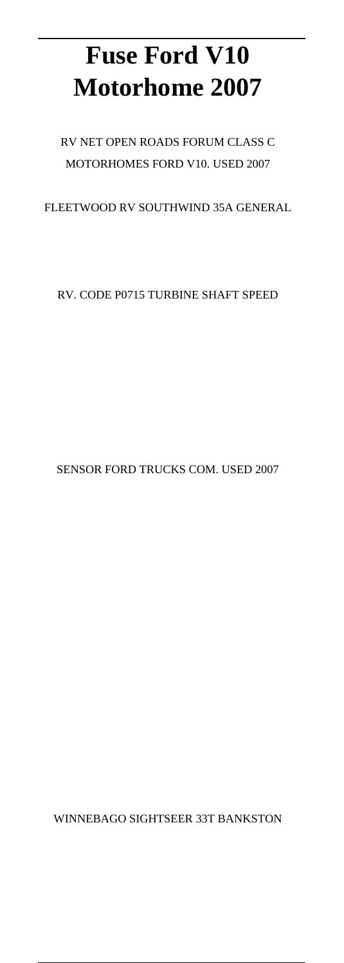# **Fuse Ford V10 Motorhome 2007**

#### RV NET OPEN ROADS FORUM CLASS C MOTORHOMES FORD V10. USED 2007

FLEETWOOD RV SOUTHWIND 35A GENERAL

RV. CODE P0715 TURBINE SHAFT SPEED

SENSOR FORD TRUCKS COM. USED 2007

WINNEBAGO SIGHTSEER 33T BANKSTON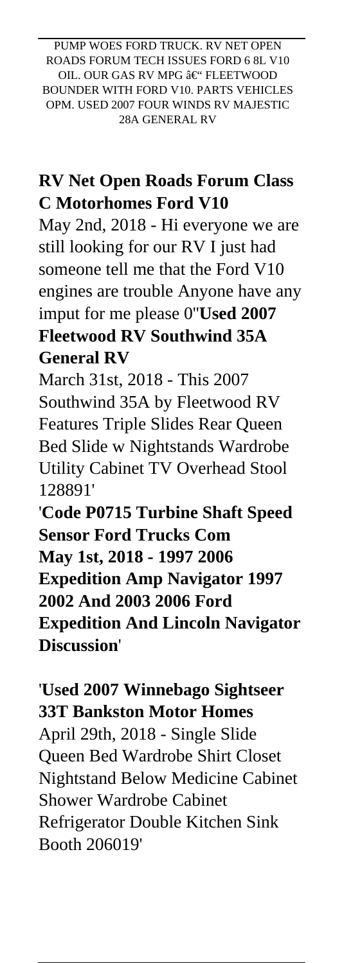PUMP WOES FORD TRUCK. RV NET OPEN ROADS FORUM TECH ISSUES FORD 6 8L V10 OIL. OUR GAS RV MPG  $\hat{a}\in$ " FLEETWOOD BOUNDER WITH FORD V10. PARTS VEHICLES OPM. USED 2007 FOUR WINDS RV MAJESTIC 28A GENERAL RV

## **RV Net Open Roads Forum Class C Motorhomes Ford V10**

May 2nd, 2018 - Hi everyone we are still looking for our RV I just had someone tell me that the Ford V10 engines are trouble Anyone have any imput for me please 0''**Used 2007 Fleetwood RV Southwind 35A General RV**

March 31st, 2018 - This 2007 Southwind 35A by Fleetwood RV Features Triple Slides Rear Queen Bed Slide w Nightstands Wardrobe Utility Cabinet TV Overhead Stool 128891'

'**Code P0715 Turbine Shaft Speed Sensor Ford Trucks Com May 1st, 2018 - 1997 2006 Expedition Amp Navigator 1997 2002 And 2003 2006 Ford Expedition And Lincoln Navigator Discussion**'

'**Used 2007 Winnebago Sightseer 33T Bankston Motor Homes** April 29th, 2018 - Single Slide Queen Bed Wardrobe Shirt Closet Nightstand Below Medicine Cabinet Shower Wardrobe Cabinet Refrigerator Double Kitchen Sink Booth 206019'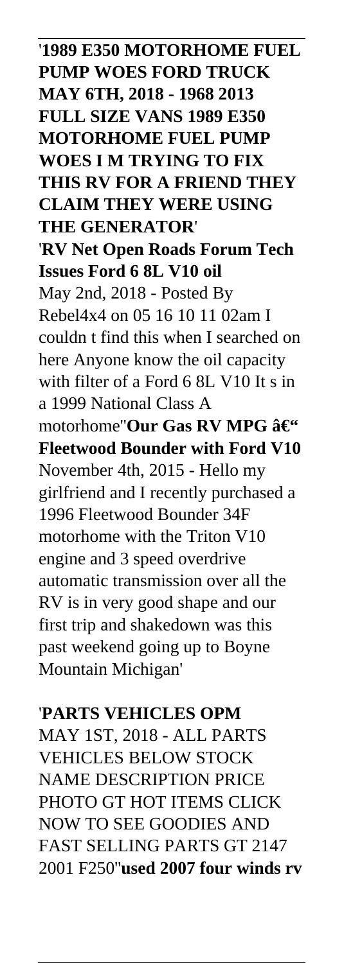'**1989 E350 MOTORHOME FUEL PUMP WOES FORD TRUCK MAY 6TH, 2018 - 1968 2013 FULL SIZE VANS 1989 E350 MOTORHOME FUEL PUMP WOES I M TRYING TO FIX THIS RV FOR A FRIEND THEY CLAIM THEY WERE USING THE GENERATOR**' '**RV Net Open Roads Forum Tech Issues Ford 6 8L V10 oil** May 2nd, 2018 - Posted By Rebel4x4 on 05 16 10 11 02am I couldn t find this when I searched on here Anyone know the oil capacity with filter of a Ford 6 8L V10 It s in a 1999 National Class A motorhome"**Our Gas RV MPG** – **Fleetwood Bounder with Ford V10** November 4th, 2015 - Hello my girlfriend and I recently purchased a 1996 Fleetwood Bounder 34F motorhome with the Triton V10 engine and 3 speed overdrive automatic transmission over all the RV is in very good shape and our first trip and shakedown was this past weekend going up to Boyne Mountain Michigan'

#### '**PARTS VEHICLES OPM**

MAY 1ST, 2018 - ALL PARTS VEHICLES BELOW STOCK NAME DESCRIPTION PRICE PHOTO GT HOT ITEMS CLICK NOW TO SEE GOODIES AND FAST SELLING PARTS GT 2147 2001 F250''**used 2007 four winds rv**